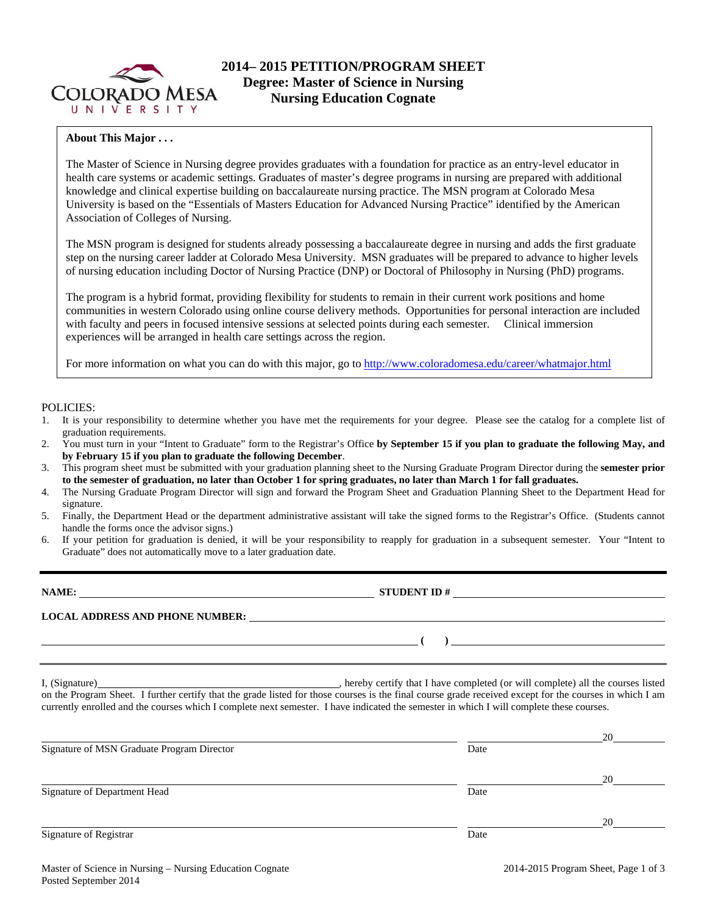

### **About This Major . . .**

The Master of Science in Nursing degree provides graduates with a foundation for practice as an entry-level educator in health care systems or academic settings. Graduates of master's degree programs in nursing are prepared with additional knowledge and clinical expertise building on baccalaureate nursing practice. The MSN program at Colorado Mesa University is based on the "Essentials of Masters Education for Advanced Nursing Practice" identified by the American Association of Colleges of Nursing.

The MSN program is designed for students already possessing a baccalaureate degree in nursing and adds the first graduate step on the nursing career ladder at Colorado Mesa University. MSN graduates will be prepared to advance to higher levels of nursing education including Doctor of Nursing Practice (DNP) or Doctoral of Philosophy in Nursing (PhD) programs.

The program is a hybrid format, providing flexibility for students to remain in their current work positions and home communities in western Colorado using online course delivery methods. Opportunities for personal interaction are included with faculty and peers in focused intensive sessions at selected points during each semester. Clinical immersion experiences will be arranged in health care settings across the region.

For more information on what you can do with this major, go to http://www.coloradomesa.edu/career/whatmajor.html

#### POLICIES:

- 1. It is your responsibility to determine whether you have met the requirements for your degree. Please see the catalog for a complete list of graduation requirements.
- 2. You must turn in your "Intent to Graduate" form to the Registrar's Office **by September 15 if you plan to graduate the following May, and by February 15 if you plan to graduate the following December**.
- 3. This program sheet must be submitted with your graduation planning sheet to the Nursing Graduate Program Director during the **semester prior to the semester of graduation, no later than October 1 for spring graduates, no later than March 1 for fall graduates.**
- 4. The Nursing Graduate Program Director will sign and forward the Program Sheet and Graduation Planning Sheet to the Department Head for signature.
- 5. Finally, the Department Head or the department administrative assistant will take the signed forms to the Registrar's Office. (Students cannot handle the forms once the advisor signs.)
- 6. If your petition for graduation is denied, it will be your responsibility to reapply for graduation in a subsequent semester. Your "Intent to Graduate" does not automatically move to a later graduation date.

|                                                                                                                                                                                                                                                                                                     | STUDENT ID $\#$                                                                                                                     |                      |
|-----------------------------------------------------------------------------------------------------------------------------------------------------------------------------------------------------------------------------------------------------------------------------------------------------|-------------------------------------------------------------------------------------------------------------------------------------|----------------------|
| LOCAL ADDRESS AND PHONE NUMBER: Under the contract of the contract of the contract of the contract of the contract of the contract of the contract of the contract of the contract of the contract of the contract of the cont                                                                      |                                                                                                                                     |                      |
|                                                                                                                                                                                                                                                                                                     | $\overline{a}$ (b) and the contract of $\overline{a}$ (b) and the contract of $\overline{a}$ (b) and the contract of $\overline{a}$ |                      |
| on the Program Sheet. I further certify that the grade listed for those courses is the final course grade received except for the courses in which I am<br>currently enrolled and the courses which I complete next semester. I have indicated the semester in which I will complete these courses. |                                                                                                                                     |                      |
|                                                                                                                                                                                                                                                                                                     |                                                                                                                                     |                      |
| Signature of MSN Graduate Program Director                                                                                                                                                                                                                                                          | Date                                                                                                                                |                      |
|                                                                                                                                                                                                                                                                                                     |                                                                                                                                     |                      |
| Signature of Department Head                                                                                                                                                                                                                                                                        | Date                                                                                                                                |                      |
|                                                                                                                                                                                                                                                                                                     |                                                                                                                                     |                      |
| Signature of Registrar                                                                                                                                                                                                                                                                              | Date                                                                                                                                | $20 \quad \text{or}$ |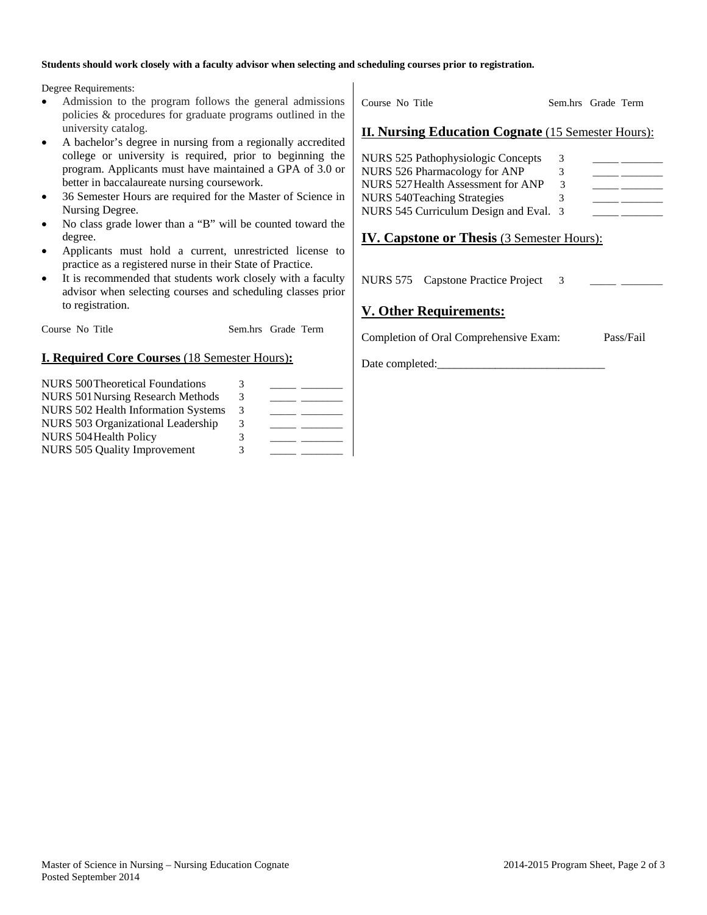#### **Students should work closely with a faculty advisor when selecting and scheduling courses prior to registration.**

Degree Requirements:

- Admission to the program follows the general admissions policies & procedures for graduate programs outlined in the university catalog.
- A bachelor's degree in nursing from a regionally accredited college or university is required, prior to beginning the program. Applicants must have maintained a GPA of 3.0 or better in baccalaureate nursing coursework.
- 36 Semester Hours are required for the Master of Science in Nursing Degree.
- No class grade lower than a "B" will be counted toward the degree.
- Applicants must hold a current, unrestricted license to practice as a registered nurse in their State of Practice.
- It is recommended that students work closely with a faculty advisor when selecting courses and scheduling classes prior to registration.

Course No Title Sem.hrs Grade Term

## **I. Required Core Courses** (18 Semester Hours)**:**

| <b>NURS 500 Theoretical Foundations</b>    | 3 |  |
|--------------------------------------------|---|--|
| <b>NURS 501 Nursing Research Methods</b>   | 3 |  |
| <b>NURS 502 Health Information Systems</b> | 3 |  |
| NURS 503 Organizational Leadership         | 3 |  |
| <b>NURS 504 Health Policy</b>              | 3 |  |
| <b>NURS 505 Quality Improvement</b>        | 3 |  |

Course No Title Sem.hrs Grade Term

## **II. Nursing Education Cognate** (15 Semester Hours):

| NURS 525 Pathophysiologic Concepts     | 3  |  |
|----------------------------------------|----|--|
| NURS 526 Pharmacology for ANP          | 3. |  |
| NURS 527 Health Assessment for ANP     | 3  |  |
| <b>NURS 540Teaching Strategies</b>     |    |  |
| NURS 545 Curriculum Design and Eval. 3 |    |  |

# **IV. Capstone or Thesis** (3 Semester Hours):

NURS 575 Capstone Practice Project 3

## **V. Other Requirements:**

Completion of Oral Comprehensive Exam: Pass/Fail

Date completed: